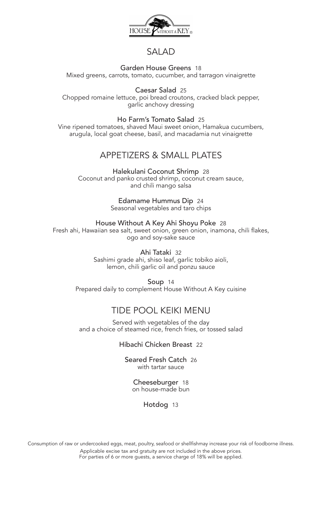

# SALAD

### Garden House Greens 18

Mixed greens, carrots, tomato, cucumber, and tarragon vinaigrette

Caesar Salad 25 Chopped romaine lettuce, poi bread croutons, cracked black pepper, garlic anchovy dressing

Ho Farm's Tomato Salad 25

Vine ripened tomatoes, shaved Maui sweet onion, Hamakua cucumbers, arugula, local goat cheese, basil, and macadamia nut vinaigrette

# APPETIZERS & SMALL PLATES

Halekulani Coconut Shrimp 28 Coconut and panko crusted shrimp, coconut cream sauce, and chili mango salsa

> Edamame Hummus Dip 24 Seasonal vegetables and taro chips

House Without A Key Ahi Shoyu Poke 28 Fresh ahi, Hawaiian sea salt, sweet onion, green onion, inamona, chili flakes, ogo and soy-sake sauce

> Ahi Tataki 32 Sashimi grade ahi, shiso leaf, garlic tobiko aioli, lemon, chili garlic oil and ponzu sauce

Soup 14 Prepared daily to complement House Without A Key cuisine

# TIDE POOL KEIKI MENU

Served with vegetables of the day and a choice of steamed rice, french fries, or tossed salad

Hibachi Chicken Breast 22

Seared Fresh Catch 26 with tartar sauce

Cheeseburger 18 on house-made bun

Hotdog 13

Consumption of raw or undercooked eggs, meat, poultry, seafood or shellfishmay increase your risk of foodborne illness. Applicable excise tax and gratuity are not included in the above prices. For parties of 6 or more guests, a service charge of 18% will be applied.